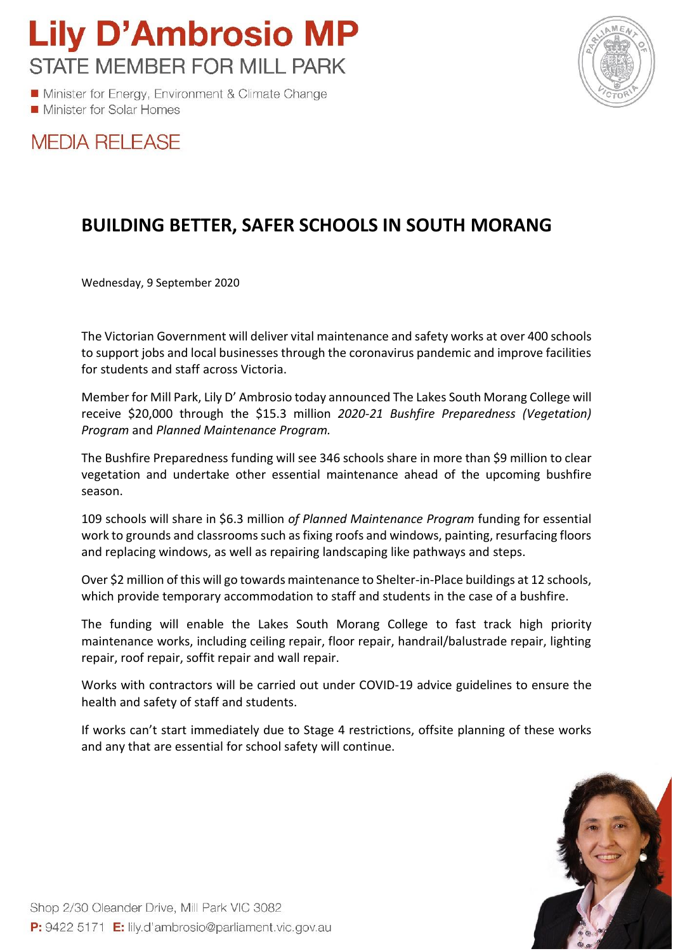**Lily D'Ambrosio MP STATE MEMBER FOR MILL PARK** 

Minister for Energy, Environment & Climate Change Minister for Solar Homes



## **MEDIA RELEASE**

## **BUILDING BETTER, SAFER SCHOOLS IN SOUTH MORANG**

Wednesday, 9 September 2020

The Victorian Government will deliver vital maintenance and safety works at over 400 schools to support jobs and local businesses through the coronavirus pandemic and improve facilities for students and staff across Victoria.

Member for Mill Park, Lily D' Ambrosio today announced The Lakes South Morang College will receive \$20,000 through the \$15.3 million *2020-21 Bushfire Preparedness (Vegetation) Program* and *Planned Maintenance Program.*

The Bushfire Preparedness funding will see 346 schools share in more than \$9 million to clear vegetation and undertake other essential maintenance ahead of the upcoming bushfire season.

109 schools will share in \$6.3 million *of Planned Maintenance Program* funding for essential work to grounds and classrooms such as fixing roofs and windows, painting, resurfacing floors and replacing windows, as well as repairing landscaping like pathways and steps.

Over \$2 million of this will go towards maintenance to Shelter-in-Place buildings at 12 schools, which provide temporary accommodation to staff and students in the case of a bushfire.

The funding will enable the Lakes South Morang College to fast track high priority maintenance works, including ceiling repair, floor repair, handrail/balustrade repair, lighting repair, roof repair, soffit repair and wall repair.

Works with contractors will be carried out under COVID-19 advice guidelines to ensure the health and safety of staff and students.

If works can't start immediately due to Stage 4 restrictions, offsite planning of these works and any that are essential for school safety will continue.